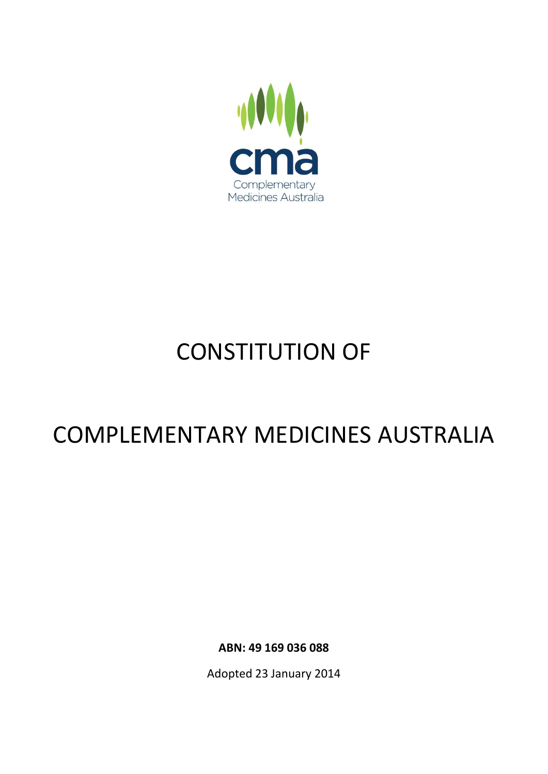

# CONSTITUTION OF

# COMPLEMENTARY MEDICINES AUSTRALIA

**ABN: 49 169 036 088**

Adopted 23 January 2014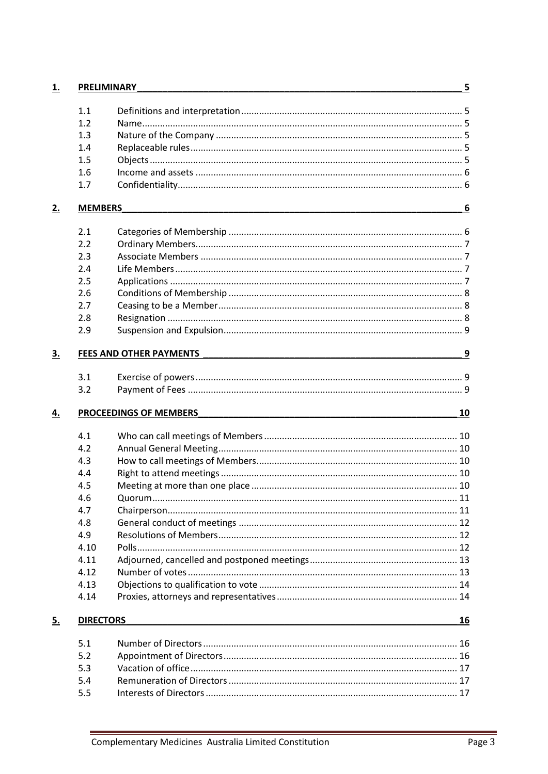| <u>1.</u> |                  | <b>PRELIMINARY</b>           |    |  |  |
|-----------|------------------|------------------------------|----|--|--|
|           | 1.1              |                              |    |  |  |
|           | 1.2              |                              |    |  |  |
|           | 1.3              |                              |    |  |  |
|           | 1.4              |                              |    |  |  |
|           | 1.5              |                              |    |  |  |
|           | 1.6              |                              |    |  |  |
|           | 1.7              |                              |    |  |  |
| 2.        | <b>MEMBERS</b>   |                              | 6  |  |  |
|           | 2.1              |                              |    |  |  |
|           | 2.2              |                              |    |  |  |
|           | 2.3              |                              |    |  |  |
|           | 2.4              |                              |    |  |  |
|           | 2.5              |                              |    |  |  |
|           | 2.6              |                              |    |  |  |
|           | 2.7              |                              |    |  |  |
|           | 2.8              |                              |    |  |  |
|           | 2.9              |                              |    |  |  |
| <u>3.</u> |                  | FEES AND OTHER PAYMENTS<br>9 |    |  |  |
|           | 3.1              |                              |    |  |  |
|           | 3.2              |                              |    |  |  |
| <u>4.</u> |                  | PROCEEDINGS OF MEMBERS       | 10 |  |  |
|           | 4.1              |                              |    |  |  |
|           | 4.2              |                              |    |  |  |
|           | 4.3              |                              |    |  |  |
|           | 4.4              |                              |    |  |  |
|           | 4.5              |                              |    |  |  |
|           | 4.6              |                              |    |  |  |
|           | 4.7              |                              |    |  |  |
|           | 4.8              |                              |    |  |  |
|           | 4.9              |                              |    |  |  |
|           | 4.10             |                              |    |  |  |
|           | 4.11             |                              |    |  |  |
|           | 4.12             |                              |    |  |  |
|           | 4.13             |                              |    |  |  |
|           | 4.14             |                              |    |  |  |
| <u>5.</u> | <b>DIRECTORS</b> |                              | 16 |  |  |
|           | 5.1              |                              |    |  |  |
|           | 5.2              |                              |    |  |  |
|           | 5.3              |                              |    |  |  |
|           | 5.4              |                              |    |  |  |
|           | 5.5              |                              |    |  |  |
|           |                  |                              |    |  |  |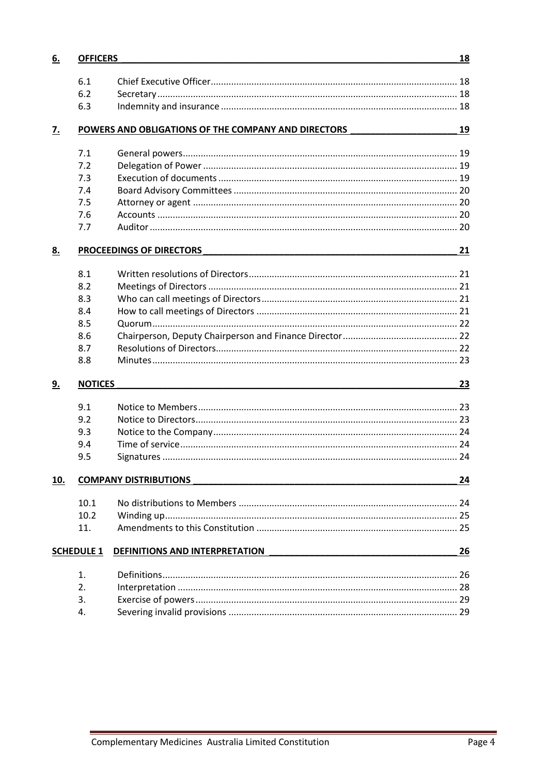| <u>6.</u> | <b>OFFICERS</b>                                     |                                | 18 |
|-----------|-----------------------------------------------------|--------------------------------|----|
|           | 6.1                                                 |                                |    |
|           | 6.2                                                 |                                |    |
|           | 6.3                                                 |                                |    |
| <u>z.</u> | POWERS AND OBLIGATIONS OF THE COMPANY AND DIRECTORS |                                |    |
|           |                                                     |                                | 19 |
|           | 7.1                                                 |                                |    |
|           | 7.2                                                 |                                |    |
|           | 7.3                                                 |                                |    |
|           | 7.4                                                 |                                |    |
|           | 7.5                                                 |                                |    |
|           | 7.6                                                 |                                |    |
|           | 7.7                                                 |                                |    |
| <u>8.</u> | <b>PROCEEDINGS OF DIRECTORS</b>                     |                                |    |
|           |                                                     |                                |    |
|           | 8.1                                                 |                                |    |
|           | 8.2                                                 |                                |    |
|           | 8.3                                                 |                                |    |
|           | 8.4                                                 |                                |    |
|           | 8.5                                                 |                                |    |
|           | 8.6                                                 |                                |    |
|           | 8.7                                                 |                                |    |
|           | 8.8                                                 |                                |    |
| <u>9.</u> | <b>NOTICES</b>                                      |                                | 23 |
|           | 9.1                                                 |                                |    |
|           | 9.2                                                 |                                |    |
|           | 9.3                                                 |                                |    |
|           | 9.4                                                 |                                |    |
|           | 9.5                                                 |                                |    |
| 10.       |                                                     | <b>COMPANY DISTRIBUTIONS</b>   | 24 |
|           |                                                     |                                |    |
|           | 10.1                                                |                                |    |
|           | 10.2                                                |                                |    |
|           | 11.                                                 |                                |    |
|           | <b>SCHEDULE 1</b>                                   | DEFINITIONS AND INTERPRETATION | 26 |
|           | 1.                                                  |                                |    |
|           | 2.                                                  |                                |    |
|           | 3.                                                  |                                |    |
|           | 4.                                                  |                                |    |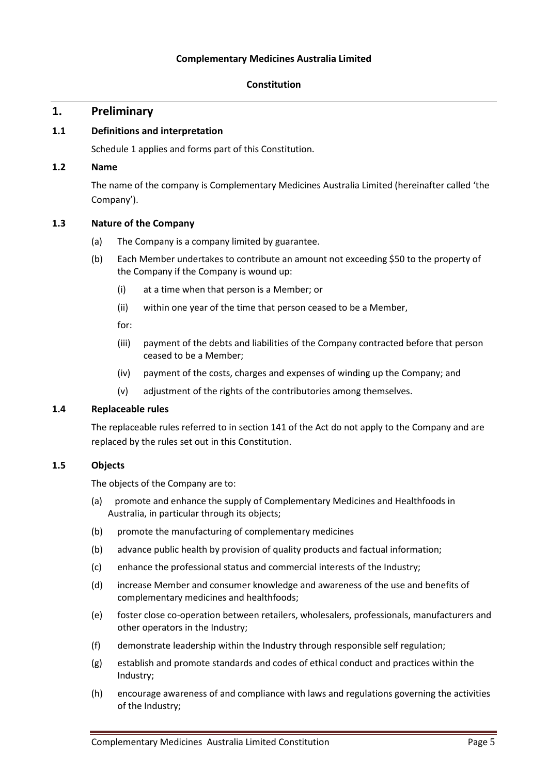## **Complementary Medicines Australia Limited**

#### **Constitution**

## <span id="page-4-0"></span>**1. Preliminary**

#### <span id="page-4-1"></span>**1.1 Definitions and interpretation**

Schedule 1 applies and forms part of this Constitution.

#### <span id="page-4-2"></span>**1.2 Name**

The name of the company is Complementary Medicines Australia Limited (hereinafter called 'the Company').

#### <span id="page-4-3"></span>**1.3 Nature of the Company**

- (a) The Company is a company limited by guarantee.
- (b) Each Member undertakes to contribute an amount not exceeding \$50 to the property of the Company if the Company is wound up:
	- (i) at a time when that person is a Member; or
	- (ii) within one year of the time that person ceased to be a Member,

for:

- (iii) payment of the debts and liabilities of the Company contracted before that person ceased to be a Member;
- (iv) payment of the costs, charges and expenses of winding up the Company; and
- (v) adjustment of the rights of the contributories among themselves.

#### <span id="page-4-4"></span>**1.4 Replaceable rules**

The replaceable rules referred to in section 141 of the Act do not apply to the Company and are replaced by the rules set out in this Constitution.

#### <span id="page-4-5"></span>**1.5 Objects**

The objects of the Company are to:

- (a) promote and enhance the supply of Complementary Medicines and Healthfoods in Australia, in particular through its objects;
- (b) promote the manufacturing of complementary medicines
- (b) advance public health by provision of quality products and factual information;
- (c) enhance the professional status and commercial interests of the Industry;
- (d) increase Member and consumer knowledge and awareness of the use and benefits of complementary medicines and healthfoods;
- (e) foster close co-operation between retailers, wholesalers, professionals, manufacturers and other operators in the Industry;
- (f) demonstrate leadership within the Industry through responsible self regulation;
- (g) establish and promote standards and codes of ethical conduct and practices within the Industry;
- (h) encourage awareness of and compliance with laws and regulations governing the activities of the Industry;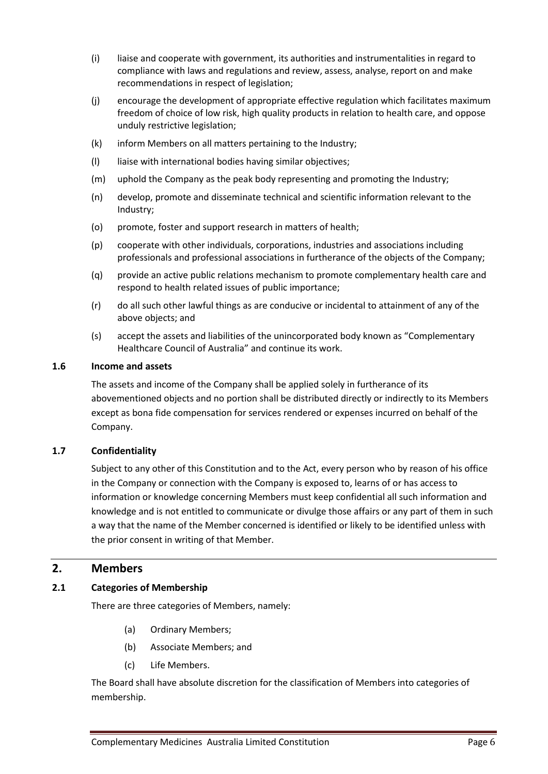- (i) liaise and cooperate with government, its authorities and instrumentalities in regard to compliance with laws and regulations and review, assess, analyse, report on and make recommendations in respect of legislation;
- (j) encourage the development of appropriate effective regulation which facilitates maximum freedom of choice of low risk, high quality products in relation to health care, and oppose unduly restrictive legislation;
- (k) inform Members on all matters pertaining to the Industry;
- (l) liaise with international bodies having similar objectives;
- (m) uphold the Company as the peak body representing and promoting the Industry;
- (n) develop, promote and disseminate technical and scientific information relevant to the Industry;
- (o) promote, foster and support research in matters of health;
- (p) cooperate with other individuals, corporations, industries and associations including professionals and professional associations in furtherance of the objects of the Company;
- (q) provide an active public relations mechanism to promote complementary health care and respond to health related issues of public importance;
- (r) do all such other lawful things as are conducive or incidental to attainment of any of the above objects; and
- (s) accept the assets and liabilities of the unincorporated body known as "Complementary Healthcare Council of Australia" and continue its work.

#### <span id="page-5-0"></span>**1.6 Income and assets**

The assets and income of the Company shall be applied solely in furtherance of its abovementioned objects and no portion shall be distributed directly or indirectly to its Members except as bona fide compensation for services rendered or expenses incurred on behalf of the Company.

## <span id="page-5-1"></span>**1.7 Confidentiality**

Subject to any other of this Constitution and to the Act, every person who by reason of his office in the Company or connection with the Company is exposed to, learns of or has access to information or knowledge concerning Members must keep confidential all such information and knowledge and is not entitled to communicate or divulge those affairs or any part of them in such a way that the name of the Member concerned is identified or likely to be identified unless with the prior consent in writing of that Member.

# <span id="page-5-2"></span>**2. Members**

## <span id="page-5-3"></span>**2.1 Categories of Membership**

There are three categories of Members, namely:

- (a) Ordinary Members;
- (b) Associate Members; and
- (c) Life Members.

The Board shall have absolute discretion for the classification of Members into categories of membership.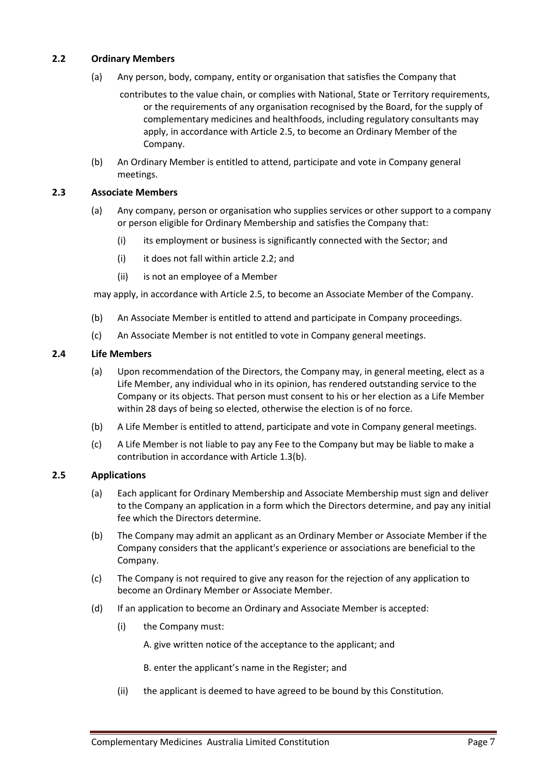## <span id="page-6-0"></span>**2.2 Ordinary Members**

- (a) Any person, body, company, entity or organisation that satisfies the Company that
	- contributes to the value chain, or complies with National, State or Territory requirements, or the requirements of any organisation recognised by the Board, for the supply of complementary medicines and healthfoods, including regulatory consultants may apply, in accordance with Article 2.5, to become an Ordinary Member of the Company.
- (b) An Ordinary Member is entitled to attend, participate and vote in Company general meetings.

### <span id="page-6-1"></span>**2.3 Associate Members**

- (a) Any company, person or organisation who supplies services or other support to a company or person eligible for Ordinary Membership and satisfies the Company that:
	- (i) its employment or business is significantly connected with the Sector; and
	- (i) it does not fall within article 2.2; and
	- (ii) is not an employee of a Member

may apply, in accordance with Article 2.5, to become an Associate Member of the Company.

- (b) An Associate Member is entitled to attend and participate in Company proceedings.
- (c) An Associate Member is not entitled to vote in Company general meetings.

#### <span id="page-6-2"></span>**2.4 Life Members**

- (a) Upon recommendation of the Directors, the Company may, in general meeting, elect as a Life Member, any individual who in its opinion, has rendered outstanding service to the Company or its objects. That person must consent to his or her election as a Life Member within 28 days of being so elected, otherwise the election is of no force.
- (b) A Life Member is entitled to attend, participate and vote in Company general meetings.
- (c) A Life Member is not liable to pay any Fee to the Company but may be liable to make a contribution in accordance with Article 1.3(b).

## <span id="page-6-3"></span>**2.5 Applications**

- (a) Each applicant for Ordinary Membership and Associate Membership must sign and deliver to the Company an application in a form which the Directors determine, and pay any initial fee which the Directors determine.
- (b) The Company may admit an applicant as an Ordinary Member or Associate Member if the Company considers that the applicant's experience or associations are beneficial to the Company.
- (c) The Company is not required to give any reason for the rejection of any application to become an Ordinary Member or Associate Member.
- (d) If an application to become an Ordinary and Associate Member is accepted:
	- (i) the Company must:

A. give written notice of the acceptance to the applicant; and

B. enter the applicant's name in the Register; and

(ii) the applicant is deemed to have agreed to be bound by this Constitution.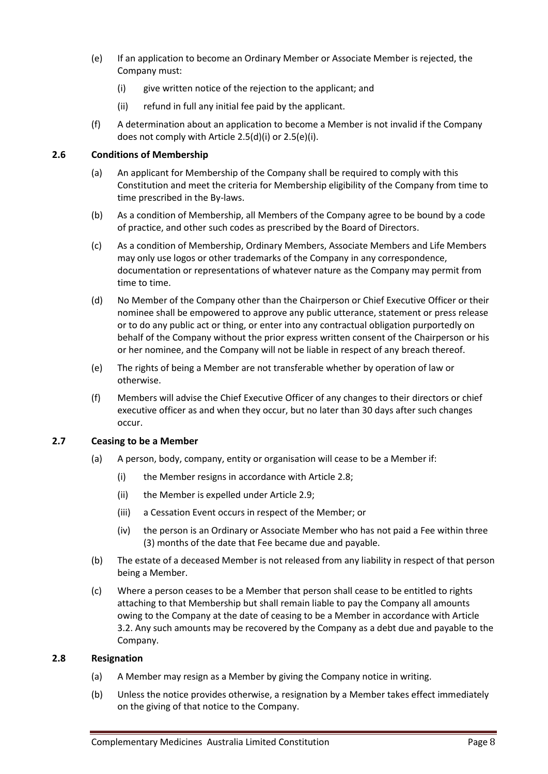- (e) If an application to become an Ordinary Member or Associate Member is rejected, the Company must:
	- (i) give written notice of the rejection to the applicant; and
	- (ii) refund in full any initial fee paid by the applicant.
- (f) A determination about an application to become a Member is not invalid if the Company does not comply with Article 2.5(d)(i) or 2.5(e)(i).

## <span id="page-7-0"></span>**2.6 Conditions of Membership**

- (a) An applicant for Membership of the Company shall be required to comply with this Constitution and meet the criteria for Membership eligibility of the Company from time to time prescribed in the By-laws.
- (b) As a condition of Membership, all Members of the Company agree to be bound by a code of practice, and other such codes as prescribed by the Board of Directors.
- (c) As a condition of Membership, Ordinary Members, Associate Members and Life Members may only use logos or other trademarks of the Company in any correspondence, documentation or representations of whatever nature as the Company may permit from time to time.
- (d) No Member of the Company other than the Chairperson or Chief Executive Officer or their nominee shall be empowered to approve any public utterance, statement or press release or to do any public act or thing, or enter into any contractual obligation purportedly on behalf of the Company without the prior express written consent of the Chairperson or his or her nominee, and the Company will not be liable in respect of any breach thereof.
- (e) The rights of being a Member are not transferable whether by operation of law or otherwise.
- (f) Members will advise the Chief Executive Officer of any changes to their directors or chief executive officer as and when they occur, but no later than 30 days after such changes occur.

## <span id="page-7-1"></span>**2.7 Ceasing to be a Member**

- (a) A person, body, company, entity or organisation will cease to be a Member if:
	- (i) the Member resigns in accordance with Article 2.8;
	- (ii) the Member is expelled under Article 2.9;
	- (iii) a Cessation Event occurs in respect of the Member; or
	- (iv) the person is an Ordinary or Associate Member who has not paid a Fee within three (3) months of the date that Fee became due and payable.
- (b) The estate of a deceased Member is not released from any liability in respect of that person being a Member.
- (c) Where a person ceases to be a Member that person shall cease to be entitled to rights attaching to that Membership but shall remain liable to pay the Company all amounts owing to the Company at the date of ceasing to be a Member in accordance with Article 3.2. Any such amounts may be recovered by the Company as a debt due and payable to the Company.

## <span id="page-7-2"></span>**2.8 Resignation**

- (a) A Member may resign as a Member by giving the Company notice in writing.
- (b) Unless the notice provides otherwise, a resignation by a Member takes effect immediately on the giving of that notice to the Company.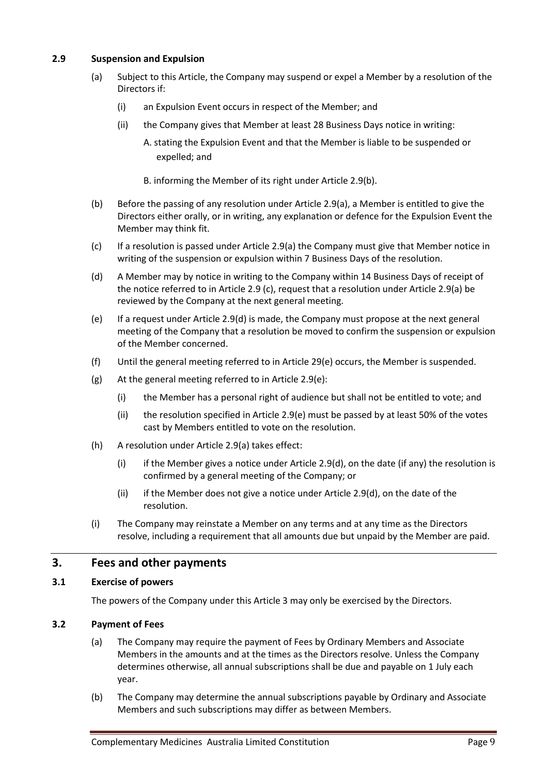## <span id="page-8-0"></span>**2.9 Suspension and Expulsion**

- (a) Subject to this Article, the Company may suspend or expel a Member by a resolution of the Directors if:
	- (i) an Expulsion Event occurs in respect of the Member; and
	- (ii) the Company gives that Member at least 28 Business Days notice in writing:
		- A. stating the Expulsion Event and that the Member is liable to be suspended or expelled; and
		- B. informing the Member of its right under Article 2.9(b).
- (b) Before the passing of any resolution under Article 2.9(a), a Member is entitled to give the Directors either orally, or in writing, any explanation or defence for the Expulsion Event the Member may think fit.
- (c) If a resolution is passed under Article 2.9(a) the Company must give that Member notice in writing of the suspension or expulsion within 7 Business Days of the resolution.
- (d) A Member may by notice in writing to the Company within 14 Business Days of receipt of the notice referred to in Article 2.9 (c), request that a resolution under Article 2.9(a) be reviewed by the Company at the next general meeting.
- (e) If a request under Article 2.9(d) is made, the Company must propose at the next general meeting of the Company that a resolution be moved to confirm the suspension or expulsion of the Member concerned.
- (f) Until the general meeting referred to in Article 29(e) occurs, the Member is suspended.
- (g) At the general meeting referred to in Article 2.9(e):
	- (i) the Member has a personal right of audience but shall not be entitled to vote; and
	- (ii) the resolution specified in Article 2.9(e) must be passed by at least 50% of the votes cast by Members entitled to vote on the resolution.
- (h) A resolution under Article 2.9(a) takes effect:
	- (i) if the Member gives a notice under Article 2.9(d), on the date (if any) the resolution is confirmed by a general meeting of the Company; or
	- (ii) if the Member does not give a notice under Article 2.9(d), on the date of the resolution.
- (i) The Company may reinstate a Member on any terms and at any time as the Directors resolve, including a requirement that all amounts due but unpaid by the Member are paid.

# <span id="page-8-1"></span>**3. Fees and other payments**

## <span id="page-8-2"></span>**3.1 Exercise of powers**

The powers of the Company under this Article 3 may only be exercised by the Directors.

## <span id="page-8-3"></span>**3.2 Payment of Fees**

- (a) The Company may require the payment of Fees by Ordinary Members and Associate Members in the amounts and at the times as the Directors resolve. Unless the Company determines otherwise, all annual subscriptions shall be due and payable on 1 July each year.
- (b) The Company may determine the annual subscriptions payable by Ordinary and Associate Members and such subscriptions may differ as between Members.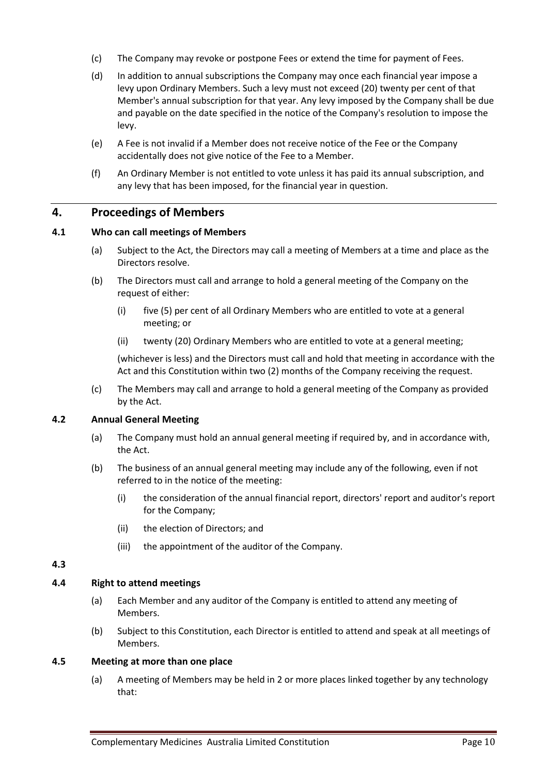- (c) The Company may revoke or postpone Fees or extend the time for payment of Fees.
- (d) In addition to annual subscriptions the Company may once each financial year impose a levy upon Ordinary Members. Such a levy must not exceed (20) twenty per cent of that Member's annual subscription for that year. Any levy imposed by the Company shall be due and payable on the date specified in the notice of the Company's resolution to impose the levy.
- (e) A Fee is not invalid if a Member does not receive notice of the Fee or the Company accidentally does not give notice of the Fee to a Member.
- (f) An Ordinary Member is not entitled to vote unless it has paid its annual subscription, and any levy that has been imposed, for the financial year in question.

## <span id="page-9-0"></span>**4. Proceedings of Members**

#### <span id="page-9-1"></span>**4.1 Who can call meetings of Members**

- (a) Subject to the Act, the Directors may call a meeting of Members at a time and place as the Directors resolve.
- (b) The Directors must call and arrange to hold a general meeting of the Company on the request of either:
	- (i) five (5) per cent of all Ordinary Members who are entitled to vote at a general meeting; or
	- (ii) twenty (20) Ordinary Members who are entitled to vote at a general meeting;

(whichever is less) and the Directors must call and hold that meeting in accordance with the Act and this Constitution within two (2) months of the Company receiving the request.

(c) The Members may call and arrange to hold a general meeting of the Company as provided by the Act.

#### <span id="page-9-2"></span>**4.2 Annual General Meeting**

- (a) The Company must hold an annual general meeting if required by, and in accordance with, the Act.
- (b) The business of an annual general meeting may include any of the following, even if not referred to in the notice of the meeting:
	- (i) the consideration of the annual financial report, directors' report and auditor's report for the Company;
	- (ii) the election of Directors; and
	- (iii) the appointment of the auditor of the Company.

#### <span id="page-9-3"></span>**4.3**

#### <span id="page-9-4"></span>**4.4 Right to attend meetings**

- (a) Each Member and any auditor of the Company is entitled to attend any meeting of Members.
- (b) Subject to this Constitution, each Director is entitled to attend and speak at all meetings of Members.

#### <span id="page-9-5"></span>**4.5 Meeting at more than one place**

(a) A meeting of Members may be held in 2 or more places linked together by any technology that: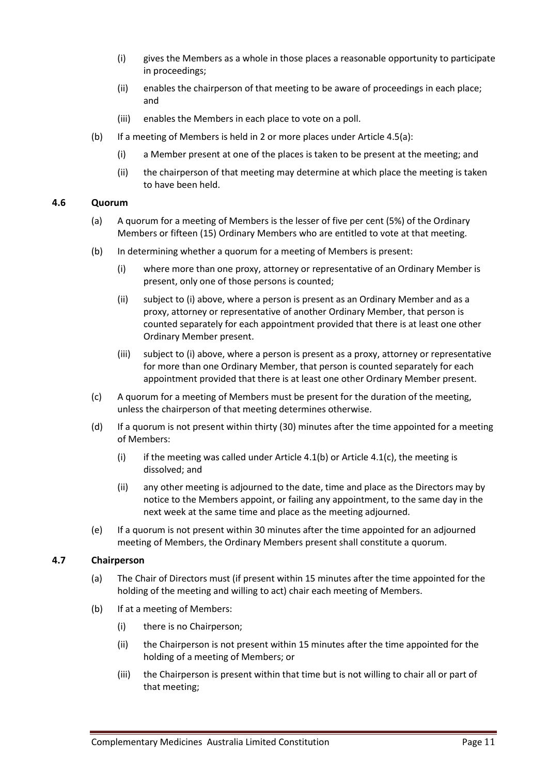- (i) gives the Members as a whole in those places a reasonable opportunity to participate in proceedings;
- (ii) enables the chairperson of that meeting to be aware of proceedings in each place; and
- (iii) enables the Members in each place to vote on a poll.
- (b) If a meeting of Members is held in 2 or more places under Article 4.5(a):
	- (i) a Member present at one of the places is taken to be present at the meeting; and
	- (ii) the chairperson of that meeting may determine at which place the meeting is taken to have been held.

#### <span id="page-10-0"></span>**4.6 Quorum**

- (a) A quorum for a meeting of Members is the lesser of five per cent (5%) of the Ordinary Members or fifteen (15) Ordinary Members who are entitled to vote at that meeting.
- (b) In determining whether a quorum for a meeting of Members is present:
	- (i) where more than one proxy, attorney or representative of an Ordinary Member is present, only one of those persons is counted;
	- (ii) subject to (i) above, where a person is present as an Ordinary Member and as a proxy, attorney or representative of another Ordinary Member, that person is counted separately for each appointment provided that there is at least one other Ordinary Member present.
	- (iii) subject to (i) above, where a person is present as a proxy, attorney or representative for more than one Ordinary Member, that person is counted separately for each appointment provided that there is at least one other Ordinary Member present.
- (c) A quorum for a meeting of Members must be present for the duration of the meeting, unless the chairperson of that meeting determines otherwise.
- (d) If a quorum is not present within thirty (30) minutes after the time appointed for a meeting of Members:
	- (i) if the meeting was called under Article 4.1(b) or Article 4.1(c), the meeting is dissolved; and
	- (ii) any other meeting is adjourned to the date, time and place as the Directors may by notice to the Members appoint, or failing any appointment, to the same day in the next week at the same time and place as the meeting adjourned.
- (e) If a quorum is not present within 30 minutes after the time appointed for an adjourned meeting of Members, the Ordinary Members present shall constitute a quorum.

#### <span id="page-10-1"></span>**4.7 Chairperson**

- (a) The Chair of Directors must (if present within 15 minutes after the time appointed for the holding of the meeting and willing to act) chair each meeting of Members.
- (b) If at a meeting of Members:
	- (i) there is no Chairperson;
	- (ii) the Chairperson is not present within 15 minutes after the time appointed for the holding of a meeting of Members; or
	- (iii) the Chairperson is present within that time but is not willing to chair all or part of that meeting;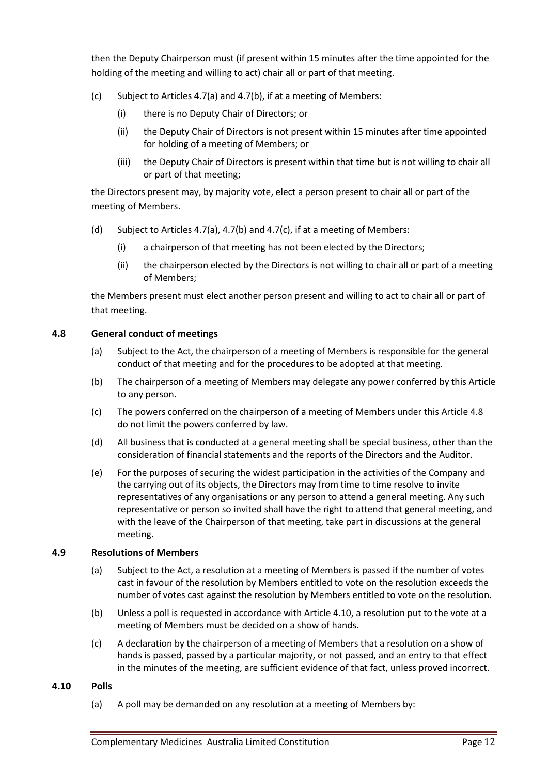then the Deputy Chairperson must (if present within 15 minutes after the time appointed for the holding of the meeting and willing to act) chair all or part of that meeting.

- (c) Subject to Articles 4.7(a) and 4.7(b), if at a meeting of Members:
	- (i) there is no Deputy Chair of Directors; or
	- (ii) the Deputy Chair of Directors is not present within 15 minutes after time appointed for holding of a meeting of Members; or
	- (iii) the Deputy Chair of Directors is present within that time but is not willing to chair all or part of that meeting;

the Directors present may, by majority vote, elect a person present to chair all or part of the meeting of Members.

- (d) Subject to Articles 4.7(a), 4.7(b) and 4.7(c), if at a meeting of Members:
	- (i) a chairperson of that meeting has not been elected by the Directors;
	- (ii) the chairperson elected by the Directors is not willing to chair all or part of a meeting of Members;

the Members present must elect another person present and willing to act to chair all or part of that meeting.

## <span id="page-11-0"></span>**4.8 General conduct of meetings**

- (a) Subject to the Act, the chairperson of a meeting of Members is responsible for the general conduct of that meeting and for the procedures to be adopted at that meeting.
- (b) The chairperson of a meeting of Members may delegate any power conferred by this Article to any person.
- (c) The powers conferred on the chairperson of a meeting of Members under this Article 4.8 do not limit the powers conferred by law.
- (d) All business that is conducted at a general meeting shall be special business, other than the consideration of financial statements and the reports of the Directors and the Auditor.
- (e) For the purposes of securing the widest participation in the activities of the Company and the carrying out of its objects, the Directors may from time to time resolve to invite representatives of any organisations or any person to attend a general meeting. Any such representative or person so invited shall have the right to attend that general meeting, and with the leave of the Chairperson of that meeting, take part in discussions at the general meeting.

## <span id="page-11-1"></span>**4.9 Resolutions of Members**

- (a) Subject to the Act, a resolution at a meeting of Members is passed if the number of votes cast in favour of the resolution by Members entitled to vote on the resolution exceeds the number of votes cast against the resolution by Members entitled to vote on the resolution.
- (b) Unless a poll is requested in accordance with Article 4.10, a resolution put to the vote at a meeting of Members must be decided on a show of hands.
- (c) A declaration by the chairperson of a meeting of Members that a resolution on a show of hands is passed, passed by a particular majority, or not passed, and an entry to that effect in the minutes of the meeting, are sufficient evidence of that fact, unless proved incorrect.

#### <span id="page-11-2"></span>**4.10 Polls**

(a) A poll may be demanded on any resolution at a meeting of Members by: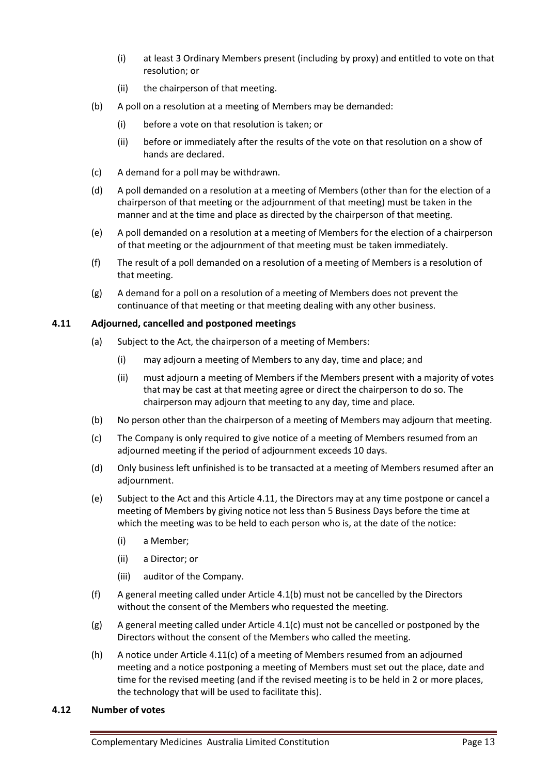- (i) at least 3 Ordinary Members present (including by proxy) and entitled to vote on that resolution; or
- (ii) the chairperson of that meeting.
- (b) A poll on a resolution at a meeting of Members may be demanded:
	- (i) before a vote on that resolution is taken; or
	- (ii) before or immediately after the results of the vote on that resolution on a show of hands are declared.
- (c) A demand for a poll may be withdrawn.
- (d) A poll demanded on a resolution at a meeting of Members (other than for the election of a chairperson of that meeting or the adjournment of that meeting) must be taken in the manner and at the time and place as directed by the chairperson of that meeting.
- (e) A poll demanded on a resolution at a meeting of Members for the election of a chairperson of that meeting or the adjournment of that meeting must be taken immediately.
- (f) The result of a poll demanded on a resolution of a meeting of Members is a resolution of that meeting.
- (g) A demand for a poll on a resolution of a meeting of Members does not prevent the continuance of that meeting or that meeting dealing with any other business.

#### <span id="page-12-0"></span>**4.11 Adjourned, cancelled and postponed meetings**

- (a) Subject to the Act, the chairperson of a meeting of Members:
	- (i) may adjourn a meeting of Members to any day, time and place; and
	- (ii) must adjourn a meeting of Members if the Members present with a majority of votes that may be cast at that meeting agree or direct the chairperson to do so. The chairperson may adjourn that meeting to any day, time and place.
- (b) No person other than the chairperson of a meeting of Members may adjourn that meeting.
- (c) The Company is only required to give notice of a meeting of Members resumed from an adjourned meeting if the period of adjournment exceeds 10 days.
- (d) Only business left unfinished is to be transacted at a meeting of Members resumed after an adjournment.
- (e) Subject to the Act and this Article 4.11, the Directors may at any time postpone or cancel a meeting of Members by giving notice not less than 5 Business Days before the time at which the meeting was to be held to each person who is, at the date of the notice:
	- (i) a Member;
	- (ii) a Director; or
	- (iii) auditor of the Company.
- (f) A general meeting called under Article 4.1(b) must not be cancelled by the Directors without the consent of the Members who requested the meeting.
- (g) A general meeting called under Article 4.1(c) must not be cancelled or postponed by the Directors without the consent of the Members who called the meeting.
- (h) A notice under Article 4.11(c) of a meeting of Members resumed from an adjourned meeting and a notice postponing a meeting of Members must set out the place, date and time for the revised meeting (and if the revised meeting is to be held in 2 or more places, the technology that will be used to facilitate this).

### <span id="page-12-1"></span>**4.12 Number of votes**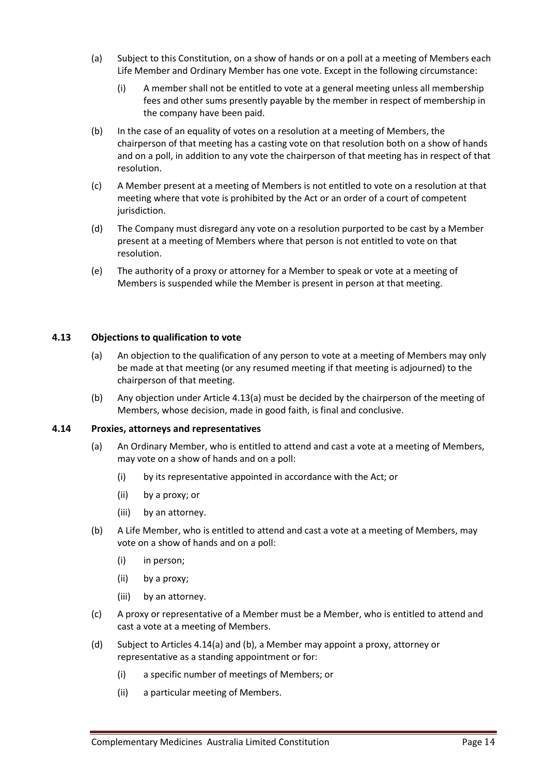- (a) Subject to this Constitution, on a show of hands or on a poll at a meeting of Members each Life Member and Ordinary Member has one vote. Except in the following circumstance:
	- (i) A member shall not be entitled to vote at a general meeting unless all membership fees and other sums presently payable by the member in respect of membership in the company have been paid.
- (b) In the case of an equality of votes on a resolution at a meeting of Members, the chairperson of that meeting has a casting vote on that resolution both on a show of hands and on a poll, in addition to any vote the chairperson of that meeting has in respect of that resolution.
- (c) A Member present at a meeting of Members is not entitled to vote on a resolution at that meeting where that vote is prohibited by the Act or an order of a court of competent jurisdiction.
- (d) The Company must disregard any vote on a resolution purported to be cast by a Member present at a meeting of Members where that person is not entitled to vote on that resolution.
- (e) The authority of a proxy or attorney for a Member to speak or vote at a meeting of Members is suspended while the Member is present in person at that meeting.

#### <span id="page-13-0"></span>**4.13 Objections to qualification to vote**

- (a) An objection to the qualification of any person to vote at a meeting of Members may only be made at that meeting (or any resumed meeting if that meeting is adjourned) to the chairperson of that meeting.
- (b) Any objection under Article 4.13(a) must be decided by the chairperson of the meeting of Members, whose decision, made in good faith, is final and conclusive.

#### <span id="page-13-1"></span>**4.14 Proxies, attorneys and representatives**

- (a) An Ordinary Member, who is entitled to attend and cast a vote at a meeting of Members, may vote on a show of hands and on a poll:
	- (i) by its representative appointed in accordance with the Act; or
	- (ii) by a proxy; or
	- (iii) by an attorney.
- (b) A Life Member, who is entitled to attend and cast a vote at a meeting of Members, may vote on a show of hands and on a poll:
	- (i) in person;
	- (ii) by a proxy;
	- (iii) by an attorney.
- (c) A proxy or representative of a Member must be a Member, who is entitled to attend and cast a vote at a meeting of Members.
- (d) Subject to Articles 4.14(a) and (b), a Member may appoint a proxy, attorney or representative as a standing appointment or for:
	- (i) a specific number of meetings of Members; or
	- (ii) a particular meeting of Members.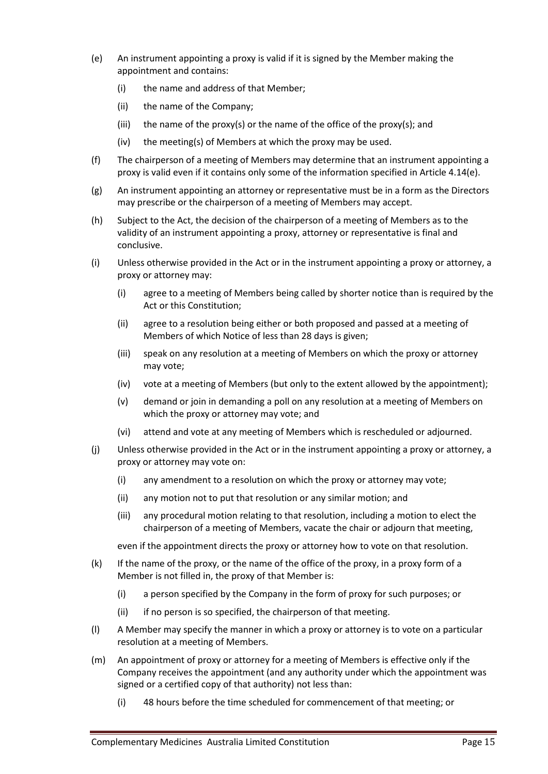- (e) An instrument appointing a proxy is valid if it is signed by the Member making the appointment and contains:
	- (i) the name and address of that Member;
	- (ii) the name of the Company;
	- (iii) the name of the proxy(s) or the name of the office of the proxy(s); and
	- (iv) the meeting(s) of Members at which the proxy may be used.
- (f) The chairperson of a meeting of Members may determine that an instrument appointing a proxy is valid even if it contains only some of the information specified in Article 4.14(e).
- (g) An instrument appointing an attorney or representative must be in a form as the Directors may prescribe or the chairperson of a meeting of Members may accept.
- (h) Subject to the Act, the decision of the chairperson of a meeting of Members as to the validity of an instrument appointing a proxy, attorney or representative is final and conclusive.
- (i) Unless otherwise provided in the Act or in the instrument appointing a proxy or attorney, a proxy or attorney may:
	- (i) agree to a meeting of Members being called by shorter notice than is required by the Act or this Constitution;
	- (ii) agree to a resolution being either or both proposed and passed at a meeting of Members of which Notice of less than 28 days is given;
	- (iii) speak on any resolution at a meeting of Members on which the proxy or attorney may vote;
	- (iv) vote at a meeting of Members (but only to the extent allowed by the appointment);
	- (v) demand or join in demanding a poll on any resolution at a meeting of Members on which the proxy or attorney may vote; and
	- (vi) attend and vote at any meeting of Members which is rescheduled or adjourned.
- (j) Unless otherwise provided in the Act or in the instrument appointing a proxy or attorney, a proxy or attorney may vote on:
	- (i) any amendment to a resolution on which the proxy or attorney may vote;
	- (ii) any motion not to put that resolution or any similar motion; and
	- (iii) any procedural motion relating to that resolution, including a motion to elect the chairperson of a meeting of Members, vacate the chair or adjourn that meeting,

even if the appointment directs the proxy or attorney how to vote on that resolution.

- (k) If the name of the proxy, or the name of the office of the proxy, in a proxy form of a Member is not filled in, the proxy of that Member is:
	- (i) a person specified by the Company in the form of proxy for such purposes; or
	- (ii) if no person is so specified, the chairperson of that meeting.
- (l) A Member may specify the manner in which a proxy or attorney is to vote on a particular resolution at a meeting of Members.
- (m) An appointment of proxy or attorney for a meeting of Members is effective only if the Company receives the appointment (and any authority under which the appointment was signed or a certified copy of that authority) not less than:
	- (i) 48 hours before the time scheduled for commencement of that meeting; or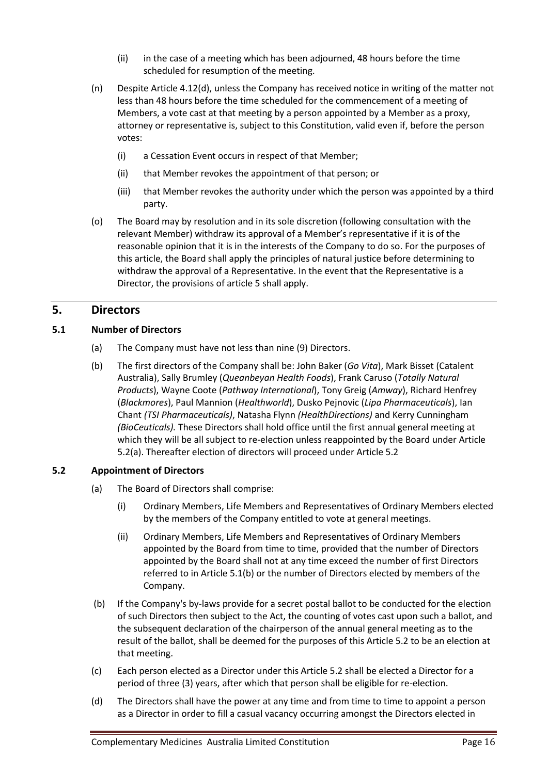- (ii) in the case of a meeting which has been adjourned, 48 hours before the time scheduled for resumption of the meeting.
- (n) Despite Article 4.12(d), unless the Company has received notice in writing of the matter not less than 48 hours before the time scheduled for the commencement of a meeting of Members, a vote cast at that meeting by a person appointed by a Member as a proxy, attorney or representative is, subject to this Constitution, valid even if, before the person votes:
	- (i) a Cessation Event occurs in respect of that Member;
	- (ii) that Member revokes the appointment of that person; or
	- (iii) that Member revokes the authority under which the person was appointed by a third party.
- (o) The Board may by resolution and in its sole discretion (following consultation with the relevant Member) withdraw its approval of a Member's representative if it is of the reasonable opinion that it is in the interests of the Company to do so. For the purposes of this article, the Board shall apply the principles of natural justice before determining to withdraw the approval of a Representative. In the event that the Representative is a Director, the provisions of article 5 shall apply.

# <span id="page-15-0"></span>**5. Directors**

#### <span id="page-15-1"></span>**5.1 Number of Directors**

- (a) The Company must have not less than nine (9) Directors.
- (b) The first directors of the Company shall be: John Baker (*Go Vita*), Mark Bisset (Catalent Australia), Sally Brumley (*Queanbeyan Health Foods*), Frank Caruso (*Totally Natural Products*), Wayne Coote (*Pathway International*), Tony Greig (*Amway*), Richard Henfrey (*Blackmores*), Paul Mannion (*Healthworld*), Dusko Pejnovic (*Lipa Pharmaceuticals*), Ian Chant *(TSI Pharmaceuticals)*, Natasha Flynn *(HealthDirections)* and Kerry Cunningham *(BioCeuticals).* These Directors shall hold office until the first annual general meeting at which they will be all subject to re-election unless reappointed by the Board under Article 5.2(a). Thereafter election of directors will proceed under Article 5.2

## <span id="page-15-2"></span>**5.2 Appointment of Directors**

- (a) The Board of Directors shall comprise:
	- (i) Ordinary Members, Life Members and Representatives of Ordinary Members elected by the members of the Company entitled to vote at general meetings.
	- (ii) Ordinary Members, Life Members and Representatives of Ordinary Members appointed by the Board from time to time, provided that the number of Directors appointed by the Board shall not at any time exceed the number of first Directors referred to in Article 5.1(b) or the number of Directors elected by members of the Company.
- (b) If the Company's by-laws provide for a secret postal ballot to be conducted for the election of such Directors then subject to the Act, the counting of votes cast upon such a ballot, and the subsequent declaration of the chairperson of the annual general meeting as to the result of the ballot, shall be deemed for the purposes of this Article 5.2 to be an election at that meeting.
- (c) Each person elected as a Director under this Article 5.2 shall be elected a Director for a period of three (3) years, after which that person shall be eligible for re-election.
- (d) The Directors shall have the power at any time and from time to time to appoint a person as a Director in order to fill a casual vacancy occurring amongst the Directors elected in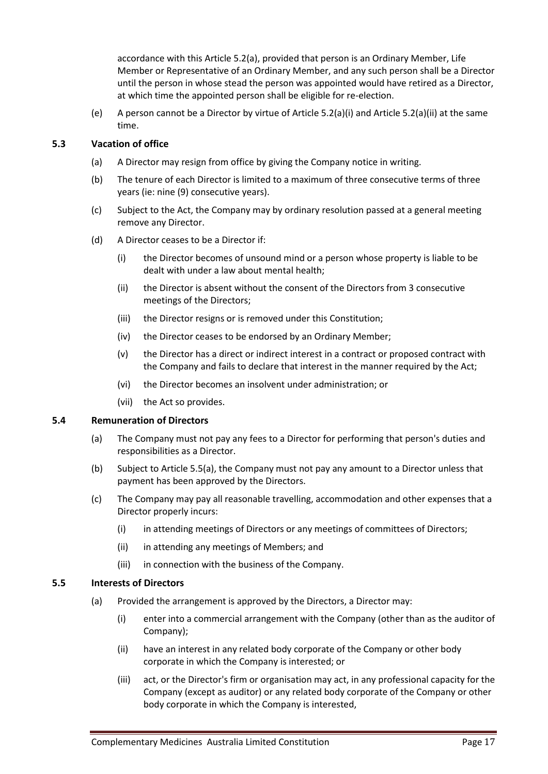accordance with this Article 5.2(a), provided that person is an Ordinary Member, Life Member or Representative of an Ordinary Member, and any such person shall be a Director until the person in whose stead the person was appointed would have retired as a Director, at which time the appointed person shall be eligible for re-election.

(e) A person cannot be a Director by virtue of Article 5.2(a)(i) and Article 5.2(a)(ii) at the same time.

## <span id="page-16-0"></span>**5.3 Vacation of office**

- (a) A Director may resign from office by giving the Company notice in writing.
- (b) The tenure of each Director is limited to a maximum of three consecutive terms of three years (ie: nine (9) consecutive years).
- (c) Subject to the Act, the Company may by ordinary resolution passed at a general meeting remove any Director.
- (d) A Director ceases to be a Director if:
	- (i) the Director becomes of unsound mind or a person whose property is liable to be dealt with under a law about mental health;
	- (ii) the Director is absent without the consent of the Directors from 3 consecutive meetings of the Directors;
	- (iii) the Director resigns or is removed under this Constitution;
	- (iv) the Director ceases to be endorsed by an Ordinary Member;
	- (v) the Director has a direct or indirect interest in a contract or proposed contract with the Company and fails to declare that interest in the manner required by the Act;
	- (vi) the Director becomes an insolvent under administration; or
	- (vii) the Act so provides.

#### <span id="page-16-1"></span>**5.4 Remuneration of Directors**

- (a) The Company must not pay any fees to a Director for performing that person's duties and responsibilities as a Director.
- (b) Subject to Article 5.5(a), the Company must not pay any amount to a Director unless that payment has been approved by the Directors.
- (c) The Company may pay all reasonable travelling, accommodation and other expenses that a Director properly incurs:
	- (i) in attending meetings of Directors or any meetings of committees of Directors;
	- (ii) in attending any meetings of Members; and
	- (iii) in connection with the business of the Company.

## <span id="page-16-2"></span>**5.5 Interests of Directors**

- (a) Provided the arrangement is approved by the Directors, a Director may:
	- (i) enter into a commercial arrangement with the Company (other than as the auditor of Company);
	- (ii) have an interest in any related body corporate of the Company or other body corporate in which the Company is interested; or
	- (iii) act, or the Director's firm or organisation may act, in any professional capacity for the Company (except as auditor) or any related body corporate of the Company or other body corporate in which the Company is interested,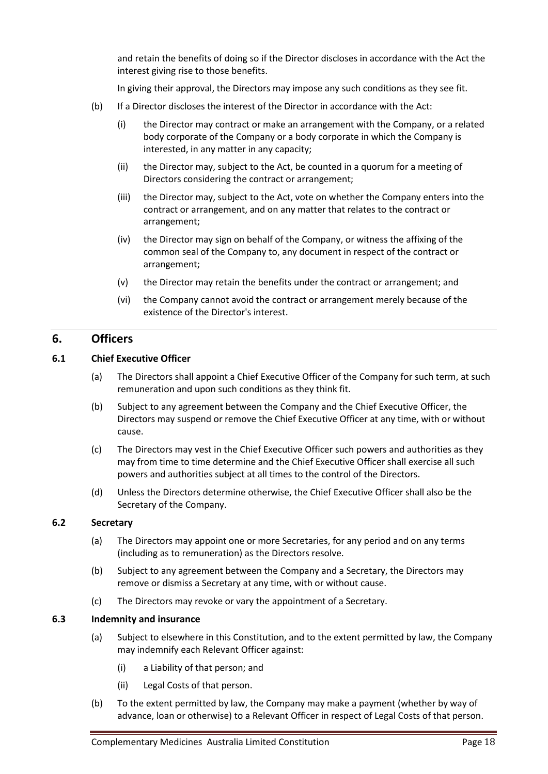and retain the benefits of doing so if the Director discloses in accordance with the Act the interest giving rise to those benefits.

In giving their approval, the Directors may impose any such conditions as they see fit.

- (b) If a Director discloses the interest of the Director in accordance with the Act:
	- (i) the Director may contract or make an arrangement with the Company, or a related body corporate of the Company or a body corporate in which the Company is interested, in any matter in any capacity;
	- (ii) the Director may, subject to the Act, be counted in a quorum for a meeting of Directors considering the contract or arrangement;
	- (iii) the Director may, subject to the Act, vote on whether the Company enters into the contract or arrangement, and on any matter that relates to the contract or arrangement;
	- (iv) the Director may sign on behalf of the Company, or witness the affixing of the common seal of the Company to, any document in respect of the contract or arrangement;
	- (v) the Director may retain the benefits under the contract or arrangement; and
	- (vi) the Company cannot avoid the contract or arrangement merely because of the existence of the Director's interest.

# <span id="page-17-0"></span>**6. Officers**

## <span id="page-17-1"></span>**6.1 Chief Executive Officer**

- (a) The Directors shall appoint a Chief Executive Officer of the Company for such term, at such remuneration and upon such conditions as they think fit.
- (b) Subject to any agreement between the Company and the Chief Executive Officer, the Directors may suspend or remove the Chief Executive Officer at any time, with or without cause.
- (c) The Directors may vest in the Chief Executive Officer such powers and authorities as they may from time to time determine and the Chief Executive Officer shall exercise all such powers and authorities subject at all times to the control of the Directors.
- (d) Unless the Directors determine otherwise, the Chief Executive Officer shall also be the Secretary of the Company.

#### <span id="page-17-2"></span>**6.2 Secretary**

- (a) The Directors may appoint one or more Secretaries, for any period and on any terms (including as to remuneration) as the Directors resolve.
- (b) Subject to any agreement between the Company and a Secretary, the Directors may remove or dismiss a Secretary at any time, with or without cause.
- (c) The Directors may revoke or vary the appointment of a Secretary.

#### <span id="page-17-3"></span>**6.3 Indemnity and insurance**

- (a) Subject to elsewhere in this Constitution, and to the extent permitted by law, the Company may indemnify each Relevant Officer against:
	- (i) a Liability of that person; and
	- (ii) Legal Costs of that person.
- (b) To the extent permitted by law, the Company may make a payment (whether by way of advance, loan or otherwise) to a Relevant Officer in respect of Legal Costs of that person.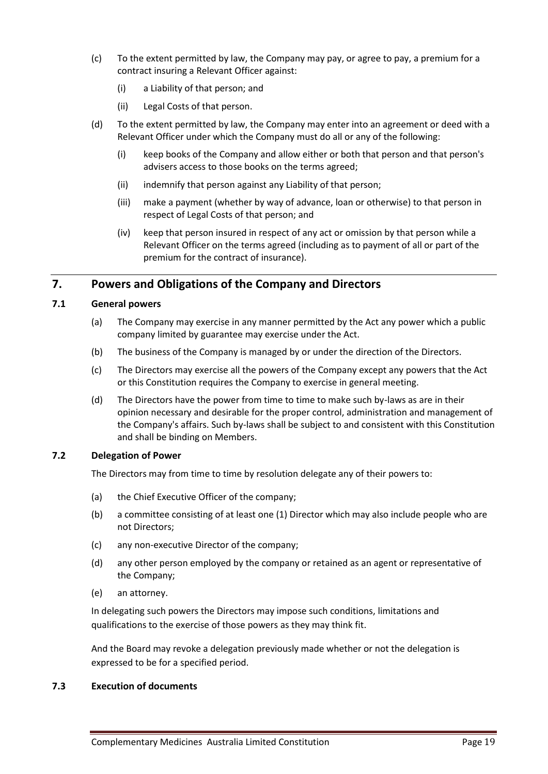- (c) To the extent permitted by law, the Company may pay, or agree to pay, a premium for a contract insuring a Relevant Officer against:
	- (i) a Liability of that person; and
	- (ii) Legal Costs of that person.
- (d) To the extent permitted by law, the Company may enter into an agreement or deed with a Relevant Officer under which the Company must do all or any of the following:
	- (i) keep books of the Company and allow either or both that person and that person's advisers access to those books on the terms agreed;
	- (ii) indemnify that person against any Liability of that person;
	- (iii) make a payment (whether by way of advance, loan or otherwise) to that person in respect of Legal Costs of that person; and
	- (iv) keep that person insured in respect of any act or omission by that person while a Relevant Officer on the terms agreed (including as to payment of all or part of the premium for the contract of insurance).

# <span id="page-18-0"></span>**7. Powers and Obligations of the Company and Directors**

## <span id="page-18-1"></span>**7.1 General powers**

- (a) The Company may exercise in any manner permitted by the Act any power which a public company limited by guarantee may exercise under the Act.
- (b) The business of the Company is managed by or under the direction of the Directors.
- (c) The Directors may exercise all the powers of the Company except any powers that the Act or this Constitution requires the Company to exercise in general meeting.
- (d) The Directors have the power from time to time to make such by-laws as are in their opinion necessary and desirable for the proper control, administration and management of the Company's affairs. Such by-laws shall be subject to and consistent with this Constitution and shall be binding on Members.

#### <span id="page-18-2"></span>**7.2 Delegation of Power**

The Directors may from time to time by resolution delegate any of their powers to:

- (a) the Chief Executive Officer of the company;
- (b) a committee consisting of at least one (1) Director which may also include people who are not Directors;
- (c) any non-executive Director of the company;
- (d) any other person employed by the company or retained as an agent or representative of the Company;
- (e) an attorney.

In delegating such powers the Directors may impose such conditions, limitations and qualifications to the exercise of those powers as they may think fit.

And the Board may revoke a delegation previously made whether or not the delegation is expressed to be for a specified period.

#### <span id="page-18-3"></span>**7.3 Execution of documents**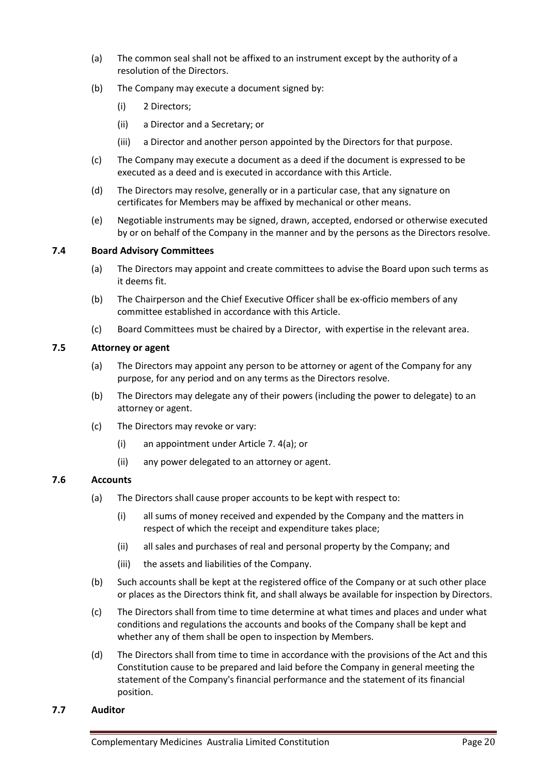- (a) The common seal shall not be affixed to an instrument except by the authority of a resolution of the Directors.
- (b) The Company may execute a document signed by:
	- (i) 2 Directors;
	- (ii) a Director and a Secretary; or
	- (iii) a Director and another person appointed by the Directors for that purpose.
- (c) The Company may execute a document as a deed if the document is expressed to be executed as a deed and is executed in accordance with this Article.
- (d) The Directors may resolve, generally or in a particular case, that any signature on certificates for Members may be affixed by mechanical or other means.
- (e) Negotiable instruments may be signed, drawn, accepted, endorsed or otherwise executed by or on behalf of the Company in the manner and by the persons as the Directors resolve.

#### <span id="page-19-0"></span>**7.4 Board Advisory Committees**

- (a) The Directors may appoint and create committees to advise the Board upon such terms as it deems fit.
- (b) The Chairperson and the Chief Executive Officer shall be ex-officio members of any committee established in accordance with this Article.
- (c) Board Committees must be chaired by a Director, with expertise in the relevant area.

#### <span id="page-19-1"></span>**7.5 Attorney or agent**

- (a) The Directors may appoint any person to be attorney or agent of the Company for any purpose, for any period and on any terms as the Directors resolve.
- (b) The Directors may delegate any of their powers (including the power to delegate) to an attorney or agent.
- (c) The Directors may revoke or vary:
	- (i) an appointment under Article 7. 4(a); or
	- (ii) any power delegated to an attorney or agent.

#### <span id="page-19-2"></span>**7.6 Accounts**

- (a) The Directors shall cause proper accounts to be kept with respect to:
	- (i) all sums of money received and expended by the Company and the matters in respect of which the receipt and expenditure takes place;
	- (ii) all sales and purchases of real and personal property by the Company; and
	- (iii) the assets and liabilities of the Company.
- (b) Such accounts shall be kept at the registered office of the Company or at such other place or places as the Directors think fit, and shall always be available for inspection by Directors.
- (c) The Directors shall from time to time determine at what times and places and under what conditions and regulations the accounts and books of the Company shall be kept and whether any of them shall be open to inspection by Members.
- (d) The Directors shall from time to time in accordance with the provisions of the Act and this Constitution cause to be prepared and laid before the Company in general meeting the statement of the Company's financial performance and the statement of its financial position.
- <span id="page-19-3"></span>**7.7 Auditor**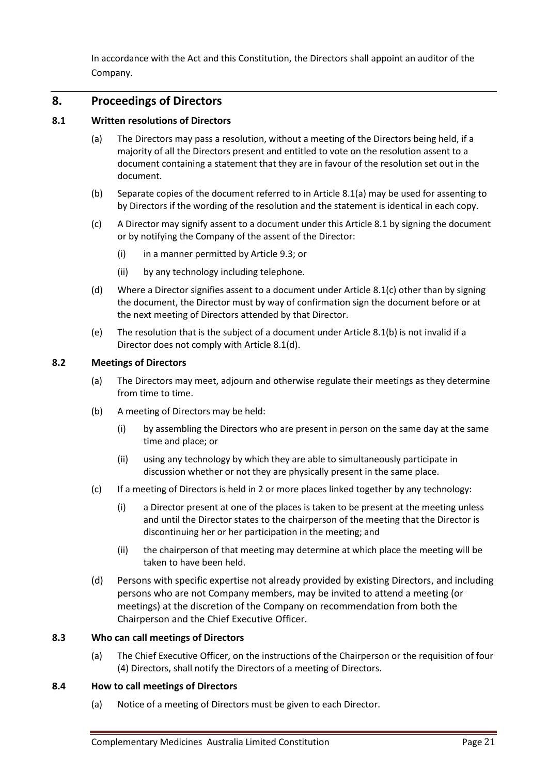In accordance with the Act and this Constitution, the Directors shall appoint an auditor of the Company.

# <span id="page-20-0"></span>**8. Proceedings of Directors**

## <span id="page-20-1"></span>**8.1 Written resolutions of Directors**

- (a) The Directors may pass a resolution, without a meeting of the Directors being held, if a majority of all the Directors present and entitled to vote on the resolution assent to a document containing a statement that they are in favour of the resolution set out in the document.
- (b) Separate copies of the document referred to in Article 8.1(a) may be used for assenting to by Directors if the wording of the resolution and the statement is identical in each copy.
- (c) A Director may signify assent to a document under this Article 8.1 by signing the document or by notifying the Company of the assent of the Director:
	- (i) in a manner permitted by Article 9.3; or
	- (ii) by any technology including telephone.
- (d) Where a Director signifies assent to a document under Article 8.1(c) other than by signing the document, the Director must by way of confirmation sign the document before or at the next meeting of Directors attended by that Director.
- (e) The resolution that is the subject of a document under Article 8.1(b) is not invalid if a Director does not comply with Article 8.1(d).

#### <span id="page-20-2"></span>**8.2 Meetings of Directors**

- (a) The Directors may meet, adjourn and otherwise regulate their meetings as they determine from time to time.
- (b) A meeting of Directors may be held:
	- (i) by assembling the Directors who are present in person on the same day at the same time and place; or
	- (ii) using any technology by which they are able to simultaneously participate in discussion whether or not they are physically present in the same place.
- (c) If a meeting of Directors is held in 2 or more places linked together by any technology:
	- (i) a Director present at one of the places is taken to be present at the meeting unless and until the Director states to the chairperson of the meeting that the Director is discontinuing her or her participation in the meeting; and
	- (ii) the chairperson of that meeting may determine at which place the meeting will be taken to have been held.
- <span id="page-20-3"></span>(d) Persons with specific expertise not already provided by existing Directors, and including persons who are not Company members, may be invited to attend a meeting (or meetings) at the discretion of the Company on recommendation from both the Chairperson and the Chief Executive Officer.

## **8.3 Who can call meetings of Directors**

(a) The Chief Executive Officer, on the instructions of the Chairperson or the requisition of four (4) Directors, shall notify the Directors of a meeting of Directors.

#### <span id="page-20-4"></span>**8.4 How to call meetings of Directors**

(a) Notice of a meeting of Directors must be given to each Director.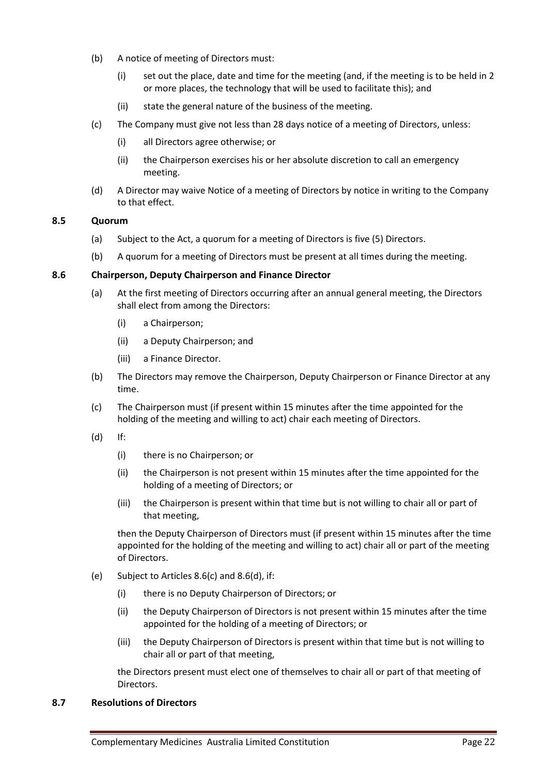- (b) A notice of meeting of Directors must:
	- (i) set out the place, date and time for the meeting (and, if the meeting is to be held in 2 or more places, the technology that will be used to facilitate this); and
	- (ii) state the general nature of the business of the meeting.
- (c) The Company must give not less than 28 days notice of a meeting of Directors, unless:
	- (i) all Directors agree otherwise; or
	- (ii) the Chairperson exercises his or her absolute discretion to call an emergency meeting.
- (d) A Director may waive Notice of a meeting of Directors by notice in writing to the Company to that effect.

#### <span id="page-21-0"></span>**8.5 Quorum**

- (a) Subject to the Act, a quorum for a meeting of Directors is five (5) Directors.
- (b) A quorum for a meeting of Directors must be present at all times during the meeting.

#### <span id="page-21-1"></span>**8.6 Chairperson, Deputy Chairperson and Finance Director**

- (a) At the first meeting of Directors occurring after an annual general meeting, the Directors shall elect from among the Directors:
	- (i) a Chairperson;
	- (ii) a Deputy Chairperson; and
	- (iii) a Finance Director.
- (b) The Directors may remove the Chairperson, Deputy Chairperson or Finance Director at any time.
- (c) The Chairperson must (if present within 15 minutes after the time appointed for the holding of the meeting and willing to act) chair each meeting of Directors.
- (d) If:
	- (i) there is no Chairperson; or
	- (ii) the Chairperson is not present within 15 minutes after the time appointed for the holding of a meeting of Directors; or
	- (iii) the Chairperson is present within that time but is not willing to chair all or part of that meeting,

then the Deputy Chairperson of Directors must (if present within 15 minutes after the time appointed for the holding of the meeting and willing to act) chair all or part of the meeting of Directors.

- (e) Subject to Articles 8.6(c) and 8.6(d), if:
	- (i) there is no Deputy Chairperson of Directors; or
	- (ii) the Deputy Chairperson of Directors is not present within 15 minutes after the time appointed for the holding of a meeting of Directors; or
	- (iii) the Deputy Chairperson of Directors is present within that time but is not willing to chair all or part of that meeting,

the Directors present must elect one of themselves to chair all or part of that meeting of Directors.

#### <span id="page-21-2"></span>**8.7 Resolutions of Directors**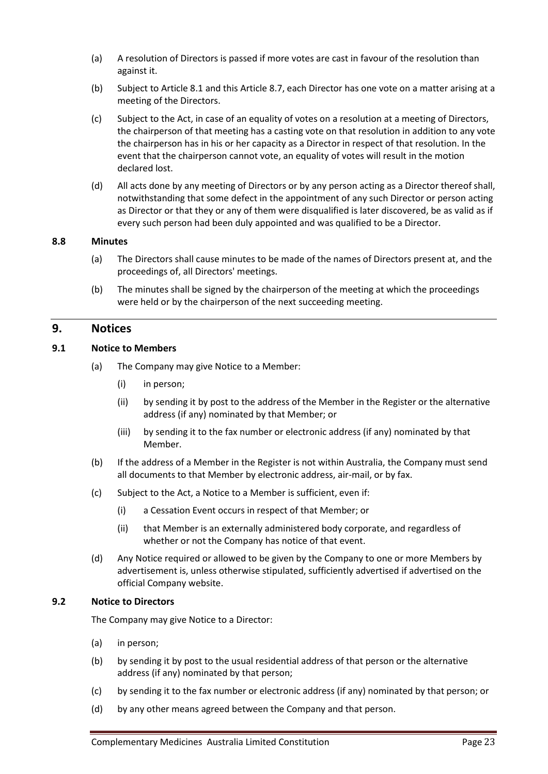- (a) A resolution of Directors is passed if more votes are cast in favour of the resolution than against it.
- (b) Subject to Article 8.1 and this Article 8.7, each Director has one vote on a matter arising at a meeting of the Directors.
- (c) Subject to the Act, in case of an equality of votes on a resolution at a meeting of Directors, the chairperson of that meeting has a casting vote on that resolution in addition to any vote the chairperson has in his or her capacity as a Director in respect of that resolution. In the event that the chairperson cannot vote, an equality of votes will result in the motion declared lost.
- (d) All acts done by any meeting of Directors or by any person acting as a Director thereof shall, notwithstanding that some defect in the appointment of any such Director or person acting as Director or that they or any of them were disqualified is later discovered, be as valid as if every such person had been duly appointed and was qualified to be a Director.

#### <span id="page-22-0"></span>**8.8 Minutes**

- (a) The Directors shall cause minutes to be made of the names of Directors present at, and the proceedings of, all Directors' meetings.
- (b) The minutes shall be signed by the chairperson of the meeting at which the proceedings were held or by the chairperson of the next succeeding meeting.

## <span id="page-22-1"></span>**9. Notices**

#### <span id="page-22-2"></span>**9.1 Notice to Members**

- (a) The Company may give Notice to a Member:
	- (i) in person;
	- (ii) by sending it by post to the address of the Member in the Register or the alternative address (if any) nominated by that Member; or
	- (iii) by sending it to the fax number or electronic address (if any) nominated by that Member.
- (b) If the address of a Member in the Register is not within Australia, the Company must send all documents to that Member by electronic address, air-mail, or by fax.
- (c) Subject to the Act, a Notice to a Member is sufficient, even if:
	- (i) a Cessation Event occurs in respect of that Member; or
	- (ii) that Member is an externally administered body corporate, and regardless of whether or not the Company has notice of that event.
- (d) Any Notice required or allowed to be given by the Company to one or more Members by advertisement is, unless otherwise stipulated, sufficiently advertised if advertised on the official Company website.

#### <span id="page-22-3"></span>**9.2 Notice to Directors**

The Company may give Notice to a Director:

- (a) in person;
- (b) by sending it by post to the usual residential address of that person or the alternative address (if any) nominated by that person;
- (c) by sending it to the fax number or electronic address (if any) nominated by that person; or
- (d) by any other means agreed between the Company and that person.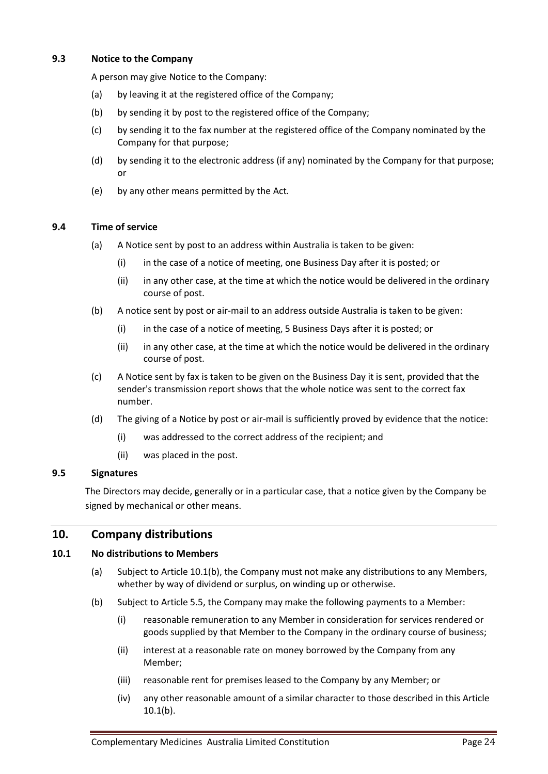## <span id="page-23-0"></span>**9.3 Notice to the Company**

A person may give Notice to the Company:

- (a) by leaving it at the registered office of the Company;
- (b) by sending it by post to the registered office of the Company;
- (c) by sending it to the fax number at the registered office of the Company nominated by the Company for that purpose;
- (d) by sending it to the electronic address (if any) nominated by the Company for that purpose; or
- (e) by any other means permitted by the Act*.*

#### <span id="page-23-1"></span>**9.4 Time of service**

- (a) A Notice sent by post to an address within Australia is taken to be given:
	- (i) in the case of a notice of meeting, one Business Day after it is posted; or
	- (ii) in any other case, at the time at which the notice would be delivered in the ordinary course of post.
- (b) A notice sent by post or air-mail to an address outside Australia is taken to be given:
	- (i) in the case of a notice of meeting, 5 Business Days after it is posted; or
	- (ii) in any other case, at the time at which the notice would be delivered in the ordinary course of post.
- (c) A Notice sent by fax is taken to be given on the Business Day it is sent, provided that the sender's transmission report shows that the whole notice was sent to the correct fax number.
- (d) The giving of a Notice by post or air-mail is sufficiently proved by evidence that the notice:
	- (i) was addressed to the correct address of the recipient; and
	- (ii) was placed in the post.

#### <span id="page-23-2"></span>**9.5 Signatures**

The Directors may decide, generally or in a particular case, that a notice given by the Company be signed by mechanical or other means.

# <span id="page-23-3"></span>**10. Company distributions**

#### <span id="page-23-4"></span>**10.1 No distributions to Members**

- (a) Subject to Article 10.1(b), the Company must not make any distributions to any Members, whether by way of dividend or surplus, on winding up or otherwise.
- (b) Subject to Article 5.5, the Company may make the following payments to a Member:
	- (i) reasonable remuneration to any Member in consideration for services rendered or goods supplied by that Member to the Company in the ordinary course of business;
	- (ii) interest at a reasonable rate on money borrowed by the Company from any Member;
	- (iii) reasonable rent for premises leased to the Company by any Member; or
	- (iv) any other reasonable amount of a similar character to those described in this Article 10.1(b).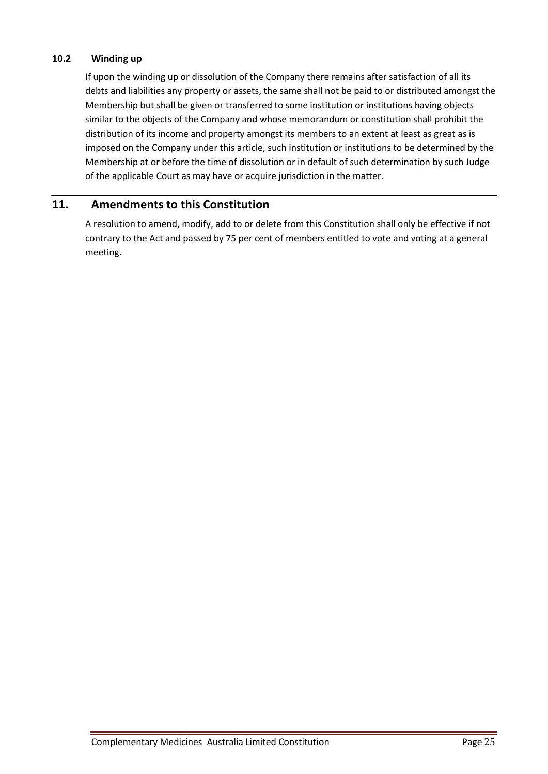# <span id="page-24-0"></span>**10.2 Winding up**

If upon the winding up or dissolution of the Company there remains after satisfaction of all its debts and liabilities any property or assets, the same shall not be paid to or distributed amongst the Membership but shall be given or transferred to some institution or institutions having objects similar to the objects of the Company and whose memorandum or constitution shall prohibit the distribution of its income and property amongst its members to an extent at least as great as is imposed on the Company under this article, such institution or institutions to be determined by the Membership at or before the time of dissolution or in default of such determination by such Judge of the applicable Court as may have or acquire jurisdiction in the matter.

# <span id="page-24-1"></span>**11. Amendments to this Constitution**

A resolution to amend, modify, add to or delete from this Constitution shall only be effective if not contrary to the Act and passed by 75 per cent of members entitled to vote and voting at a general meeting.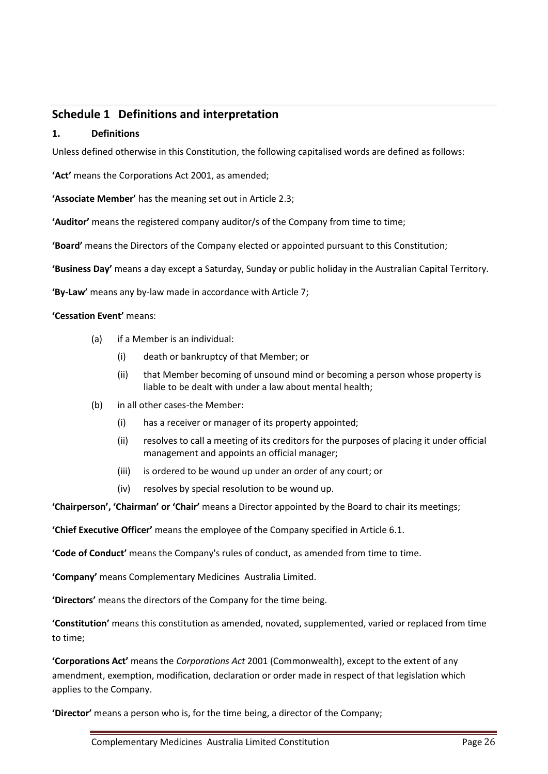# <span id="page-25-0"></span>**Schedule 1 Definitions and interpretation**

## <span id="page-25-1"></span>**1. Definitions**

Unless defined otherwise in this Constitution, the following capitalised words are defined as follows:

**'Act'** means the Corporations Act 2001, as amended;

**'Associate Member'** has the meaning set out in Article 2.3;

**'Auditor'** means the registered company auditor/s of the Company from time to time;

**'Board'** means the Directors of the Company elected or appointed pursuant to this Constitution;

**'Business Day'** means a day except a Saturday, Sunday or public holiday in the Australian Capital Territory.

**'By-Law'** means any by-law made in accordance with Article 7;

#### **'Cessation Event'** means:

- (a) if a Member is an individual:
	- (i) death or bankruptcy of that Member; or
	- (ii) that Member becoming of unsound mind or becoming a person whose property is liable to be dealt with under a law about mental health;
- (b) in all other cases-the Member:
	- (i) has a receiver or manager of its property appointed;
	- (ii) resolves to call a meeting of its creditors for the purposes of placing it under official management and appoints an official manager;
	- (iii) is ordered to be wound up under an order of any court; or
	- (iv) resolves by special resolution to be wound up.

**'Chairperson', 'Chairman' or 'Chair'** means a Director appointed by the Board to chair its meetings;

**'Chief Executive Officer'** means the employee of the Company specified in Article 6.1.

**'Code of Conduct'** means the Company's rules of conduct, as amended from time to time.

**'Company'** means Complementary Medicines Australia Limited.

**'Directors'** means the directors of the Company for the time being.

**'Constitution'** means this constitution as amended, novated, supplemented, varied or replaced from time to time;

**'Corporations Act'** means the *Corporations Act* 2001 (Commonwealth), except to the extent of any amendment, exemption, modification, declaration or order made in respect of that legislation which applies to the Company.

**'Director'** means a person who is, for the time being, a director of the Company;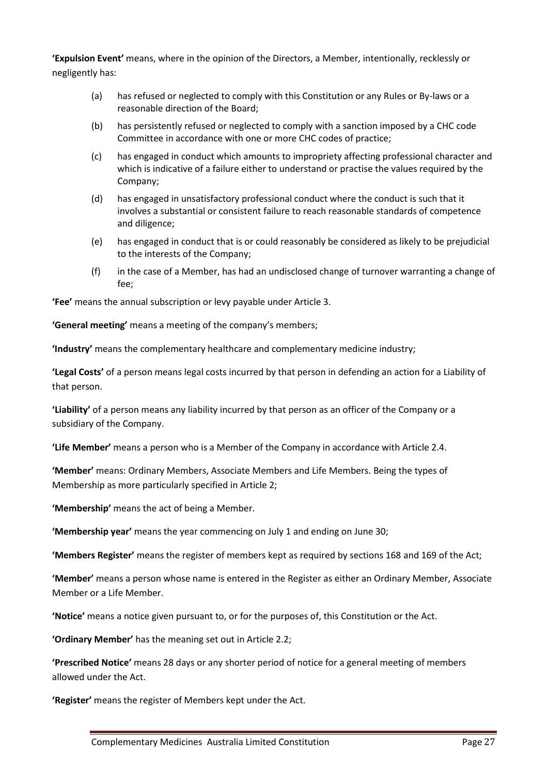**'Expulsion Event'** means, where in the opinion of the Directors, a Member, intentionally, recklessly or negligently has:

- (a) has refused or neglected to comply with this Constitution or any Rules or By-laws or a reasonable direction of the Board;
- (b) has persistently refused or neglected to comply with a sanction imposed by a CHC code Committee in accordance with one or more CHC codes of practice;
- (c) has engaged in conduct which amounts to impropriety affecting professional character and which is indicative of a failure either to understand or practise the values required by the Company;
- (d) has engaged in unsatisfactory professional conduct where the conduct is such that it involves a substantial or consistent failure to reach reasonable standards of competence and diligence;
- (e) has engaged in conduct that is or could reasonably be considered as likely to be prejudicial to the interests of the Company;
- (f) in the case of a Member, has had an undisclosed change of turnover warranting a change of fee;

**'Fee'** means the annual subscription or levy payable under Article 3.

**'General meeting'** means a meeting of the company's members;

**'Industry'** means the complementary healthcare and complementary medicine industry;

**'Legal Costs'** of a person means legal costs incurred by that person in defending an action for a Liability of that person.

**'Liability'** of a person means any liability incurred by that person as an officer of the Company or a subsidiary of the Company.

**'Life Member'** means a person who is a Member of the Company in accordance with Article 2.4.

**'Member'** means: Ordinary Members, Associate Members and Life Members. Being the types of Membership as more particularly specified in Article 2;

**'Membership'** means the act of being a Member.

**'Membership year'** means the year commencing on July 1 and ending on June 30;

**'Members Register'** means the register of members kept as required by sections 168 and 169 of the Act;

**'Member'** means a person whose name is entered in the Register as either an Ordinary Member, Associate Member or a Life Member.

**'Notice'** means a notice given pursuant to, or for the purposes of, this Constitution or the Act.

**'Ordinary Member'** has the meaning set out in Article 2.2;

**'Prescribed Notice'** means 28 days or any shorter period of notice for a general meeting of members allowed under the Act.

**'Register'** means the register of Members kept under the Act.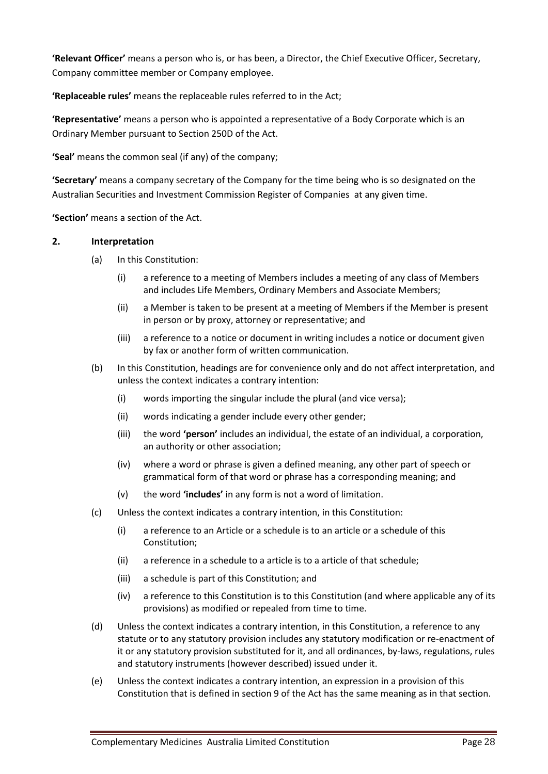**'Relevant Officer'** means a person who is, or has been, a Director, the Chief Executive Officer, Secretary, Company committee member or Company employee.

**'Replaceable rules'** means the replaceable rules referred to in the Act;

**'Representative'** means a person who is appointed a representative of a Body Corporate which is an Ordinary Member pursuant to Section 250D of the Act.

**'Seal'** means the common seal (if any) of the company;

**'Secretary'** means a company secretary of the Company for the time being who is so designated on the Australian Securities and Investment Commission Register of Companies at any given time.

**'Section'** means a section of the Act.

#### <span id="page-27-0"></span>**2. Interpretation**

- (a) In this Constitution:
	- (i) a reference to a meeting of Members includes a meeting of any class of Members and includes Life Members, Ordinary Members and Associate Members;
	- (ii) a Member is taken to be present at a meeting of Members if the Member is present in person or by proxy, attorney or representative; and
	- (iii) a reference to a notice or document in writing includes a notice or document given by fax or another form of written communication.
- (b) In this Constitution, headings are for convenience only and do not affect interpretation, and unless the context indicates a contrary intention:
	- (i) words importing the singular include the plural (and vice versa);
	- (ii) words indicating a gender include every other gender;
	- (iii) the word **'person'** includes an individual, the estate of an individual, a corporation, an authority or other association;
	- (iv) where a word or phrase is given a defined meaning, any other part of speech or grammatical form of that word or phrase has a corresponding meaning; and
	- (v) the word **'includes'** in any form is not a word of limitation.
- (c) Unless the context indicates a contrary intention, in this Constitution:
	- (i) a reference to an Article or a schedule is to an article or a schedule of this Constitution;
	- (ii) a reference in a schedule to a article is to a article of that schedule;
	- (iii) a schedule is part of this Constitution; and
	- (iv) a reference to this Constitution is to this Constitution (and where applicable any of its provisions) as modified or repealed from time to time.
- (d) Unless the context indicates a contrary intention, in this Constitution, a reference to any statute or to any statutory provision includes any statutory modification or re-enactment of it or any statutory provision substituted for it, and all ordinances, by-laws, regulations, rules and statutory instruments (however described) issued under it.
- (e) Unless the context indicates a contrary intention, an expression in a provision of this Constitution that is defined in section 9 of the Act has the same meaning as in that section.